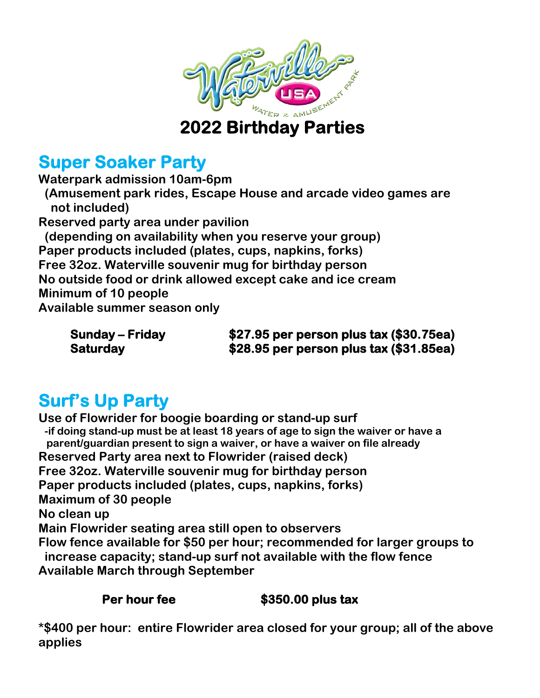

### **2022 Birthday Parties**

## **Super Soaker Party**

**Waterpark admission 10am-6pm (Amusement park rides, Escape House and arcade video games are not included) Reserved party area under pavilion (depending on availability when you reserve your group) Paper products included (plates, cups, napkins, forks) Free 32oz. Waterville souvenir mug for birthday person No outside food or drink allowed except cake and ice cream Minimum of 10 people Available summer season only**

**Sunday – Friday \$27.95 per person plus tax (\$30.75ea) Saturday \$28.95 per person plus tax (\$31.85ea)** 

# **Surf's Up Party**

**Use of Flowrider for boogie boarding or stand-up surf -if doing stand-up must be at least 18 years of age to sign the waiver or have a parent/guardian present to sign a waiver, or have a waiver on file already Reserved Party area next to Flowrider (raised deck) Free 32oz. Waterville souvenir mug for birthday person Paper products included (plates, cups, napkins, forks) Maximum of 30 people No clean up Main Flowrider seating area still open to observers Flow fence available for \$50 per hour; recommended for larger groups to increase capacity; stand-up surf not available with the flow fence Available March through September**

#### Per hour fee **\$350.00 plus tax**

**\*\$400 per hour: entire Flowrider area closed for your group; all of the above applies**